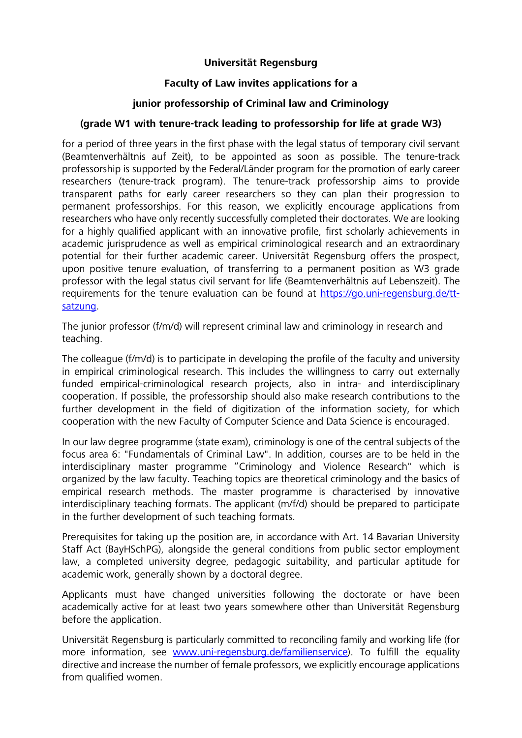### **Universität Regensburg**

## **Faculty of Law invites applications for a**

# **junior professorship of Criminal law and Criminology**

### **(grade W1 with tenure-track leading to professorship for life at grade W3)**

for a period of three years in the first phase with the legal status of temporary civil servant (Beamtenverhältnis auf Zeit), to be appointed as soon as possible. The tenure-track professorship is supported by the Federal/Länder program for the promotion of early career researchers (tenure-track program). The tenure-track professorship aims to provide transparent paths for early career researchers so they can plan their progression to permanent professorships. For this reason, we explicitly encourage applications from researchers who have only recently successfully completed their doctorates. We are looking for a highly qualified applicant with an innovative profile, first scholarly achievements in academic jurisprudence as well as empirical criminological research and an extraordinary potential for their further academic career. Universität Regensburg offers the prospect, upon positive tenure evaluation, of transferring to a permanent position as W3 grade professor with the legal status civil servant for life (Beamtenverhältnis auf Lebenszeit). The requirements for the tenure evaluation can be found at https://go.uni-regensburg.de/ttsatzung.

The junior professor (f/m/d) will represent criminal law and criminology in research and teaching.

The colleague (f/m/d) is to participate in developing the profile of the faculty and university in empirical criminological research. This includes the willingness to carry out externally funded empirical-criminological research projects, also in intra- and interdisciplinary cooperation. If possible, the professorship should also make research contributions to the further development in the field of digitization of the information society, for which cooperation with the new Faculty of Computer Science and Data Science is encouraged.

In our law degree programme (state exam), criminology is one of the central subjects of the focus area 6: "Fundamentals of Criminal Law". In addition, courses are to be held in the interdisciplinary master programme "Criminology and Violence Research" which is organized by the law faculty. Teaching topics are theoretical criminology and the basics of empirical research methods. The master programme is characterised by innovative interdisciplinary teaching formats. The applicant (m/f/d) should be prepared to participate in the further development of such teaching formats.

Prerequisites for taking up the position are, in accordance with Art. 14 Bavarian University Staff Act (BayHSchPG), alongside the general conditions from public sector employment law, a completed university degree, pedagogic suitability, and particular aptitude for academic work, generally shown by a doctoral degree.

Applicants must have changed universities following the doctorate or have been academically active for at least two years somewhere other than Universität Regensburg before the application.

Universität Regensburg is particularly committed to reconciling family and working life (for more information, see www.uni-regensburg.de/familienservice). To fulfill the equality directive and increase the number of female professors, we explicitly encourage applications from qualified women.